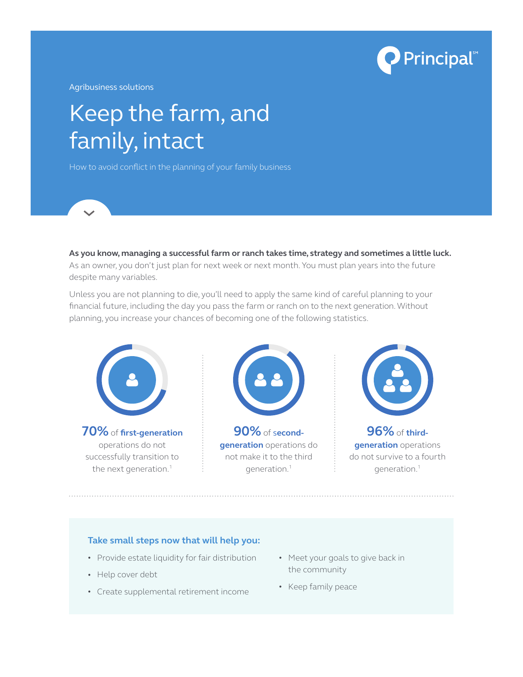

Agribusiness solutions

# Keep the farm, and family, intact

How to avoid conflict in the planning of your family business

**As you know, managing a successful farm or ranch takes time, strategy and sometimes a little luck.** As an owner, you don't just plan for next week or next month. You must plan years into the future despite many variables.

Unless you are not planning to die, you'll need to apply the same kind of careful planning to your financial future, including the day you pass the farm or ranch on to the next generation. Without planning, you increase your chances of becoming one of the following statistics.



operations do not successfully transition to the next generation.<sup>1</sup>



**90%** of s**econdgeneration** operations do not make it to the third generation.1



**96%** of **thirdgeneration** operations do not survive to a fourth generation.1

#### **Take small steps now that will help you:**

- Provide estate liquidity for fair distribution
- Help cover debt
- Create supplemental retirement income
- Meet your goals to give back in the community
- Keep family peace